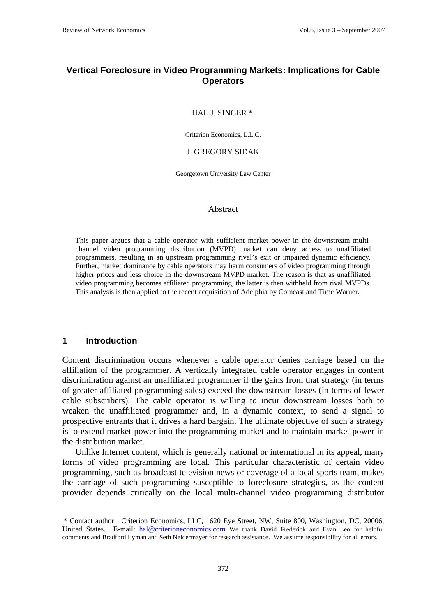# **Vertical Foreclosure in Video Programming Markets: Implications for Cable Operators**

#### HAL J. SINGER \*

Criterion Economics, L.L.C.

### J. GREGORY SIDAK

Georgetown University Law Center

#### Abstract

This paper argues that a cable operator with sufficient market power in the downstream multichannel video programming distribution (MVPD) market can deny access to unaffiliated programmers, resulting in an upstream programming rival's exit or impaired dynamic efficiency. Further, market dominance by cable operators may harm consumers of video programming through higher prices and less choice in the downstream MVPD market. The reason is that as unaffiliated video programming becomes affiliated programming, the latter is then withheld from rival MVPDs. This analysis is then applied to the recent acquisition of Adelphia by Comcast and Time Warner.

### **1 Introduction**

1

Content discrimination occurs whenever a cable operator denies carriage based on the affiliation of the programmer. A vertically integrated cable operator engages in content discrimination against an unaffiliated programmer if the gains from that strategy (in terms of greater affiliated programming sales) exceed the downstream losses (in terms of fewer cable subscribers). The cable operator is willing to incur downstream losses both to weaken the unaffiliated programmer and, in a dynamic context, to send a signal to prospective entrants that it drives a hard bargain. The ultimate objective of such a strategy is to extend market power into the programming market and to maintain market power in the distribution market.

Unlike Internet content, which is generally national or international in its appeal, many forms of video programming are local. This particular characteristic of certain video programming, such as broadcast television news or coverage of a local sports team, makes the carriage of such programming susceptible to foreclosure strategies, as the content provider depends critically on the local multi-channel video programming distributor

<sup>\*</sup> Contact author. Criterion Economics, LLC, 1620 Eye Street, NW, Suite 800, Washington, DC, 20006, United States. E-mail: [hal@criterioneconomics.com](mailto:hal@criterioneconomics.com) We thank David Frederick and Evan Leo for helpful comments and Bradford Lyman and Seth Neidermayer for research assistance. We assume responsibility for all errors.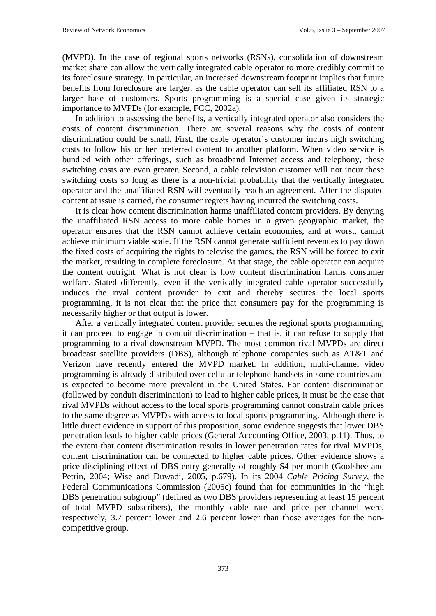(MVPD). In the case of regional sports networks (RSNs), consolidation of downstream market share can allow the vertically integrated cable operator to more credibly commit to its foreclosure strategy. In particular, an increased downstream footprint implies that future benefits from foreclosure are larger, as the cable operator can sell its affiliated RSN to a larger base of customers. Sports programming is a special case given its strategic importance to MVPDs (for example, FCC, 2002a).

In addition to assessing the benefits, a vertically integrated operator also considers the costs of content discrimination. There are several reasons why the costs of content discrimination could be small. First, the cable operator's customer incurs high switching costs to follow his or her preferred content to another platform. When video service is bundled with other offerings, such as broadband Internet access and telephony, these switching costs are even greater. Second, a cable television customer will not incur these switching costs so long as there is a non-trivial probability that the vertically integrated operator and the unaffiliated RSN will eventually reach an agreement. After the disputed content at issue is carried, the consumer regrets having incurred the switching costs.

It is clear how content discrimination harms unaffiliated content providers. By denying the unaffiliated RSN access to more cable homes in a given geographic market, the operator ensures that the RSN cannot achieve certain economies, and at worst, cannot achieve minimum viable scale. If the RSN cannot generate sufficient revenues to pay down the fixed costs of acquiring the rights to televise the games, the RSN will be forced to exit the market, resulting in complete foreclosure. At that stage, the cable operator can acquire the content outright. What is not clear is how content discrimination harms consumer welfare. Stated differently, even if the vertically integrated cable operator successfully induces the rival content provider to exit and thereby secures the local sports programming, it is not clear that the price that consumers pay for the programming is necessarily higher or that output is lower.

After a vertically integrated content provider secures the regional sports programming, it can proceed to engage in conduit discrimination – that is, it can refuse to supply that programming to a rival downstream MVPD. The most common rival MVPDs are direct broadcast satellite providers (DBS), although telephone companies such as AT&T and Verizon have recently entered the MVPD market. In addition, multi-channel video programming is already distributed over cellular telephone handsets in some countries and is expected to become more prevalent in the United States. For content discrimination (followed by conduit discrimination) to lead to higher cable prices, it must be the case that rival MVPDs without access to the local sports programming cannot constrain cable prices to the same degree as MVPDs with access to local sports programming. Although there is little direct evidence in support of this proposition, some evidence suggests that lower DBS penetration leads to higher cable prices (General Accounting Office, 2003, p.11). Thus, to the extent that content discrimination results in lower penetration rates for rival MVPDs, content discrimination can be connected to higher cable prices. Other evidence shows a price-disciplining effect of DBS entry generally of roughly \$4 per month (Goolsbee and Petrin, 2004; Wise and Duwadi, 2005, p.679). In its 2004 *Cable Pricing Survey*, the Federal Communications Commission (2005c) found that for communities in the "high DBS penetration subgroup" (defined as two DBS providers representing at least 15 percent of total MVPD subscribers), the monthly cable rate and price per channel were, respectively, 3.7 percent lower and 2.6 percent lower than those averages for the noncompetitive group.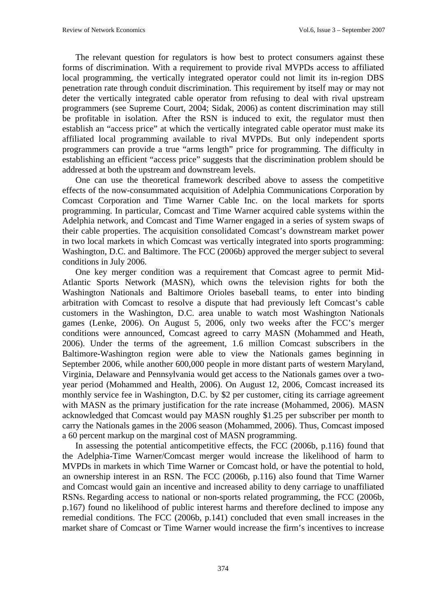The relevant question for regulators is how best to protect consumers against these forms of discrimination. With a requirement to provide rival MVPDs access to affiliated local programming, the vertically integrated operator could not limit its in-region DBS penetration rate through conduit discrimination. This requirement by itself may or may not deter the vertically integrated cable operator from refusing to deal with rival upstream programmers (see Supreme Court, 2004; Sidak, 2006) as content discrimination may still be profitable in isolation. After the RSN is induced to exit, the regulator must then establish an "access price" at which the vertically integrated cable operator must make its affiliated local programming available to rival MVPDs. But only independent sports programmers can provide a true "arms length" price for programming. The difficulty in establishing an efficient "access price" suggests that the discrimination problem should be addressed at both the upstream and downstream levels.

One can use the theoretical framework described above to assess the competitive effects of the now-consummated acquisition of Adelphia Communications Corporation by Comcast Corporation and Time Warner Cable Inc. on the local markets for sports programming. In particular, Comcast and Time Warner acquired cable systems within the Adelphia network, and Comcast and Time Warner engaged in a series of system swaps of their cable properties. The acquisition consolidated Comcast's downstream market power in two local markets in which Comcast was vertically integrated into sports programming: Washington, D.C. and Baltimore. The FCC (2006b) approved the merger subject to several conditions in July 2006.

One key merger condition was a requirement that Comcast agree to permit Mid-Atlantic Sports Network (MASN), which owns the television rights for both the Washington Nationals and Baltimore Orioles baseball teams, to enter into binding arbitration with Comcast to resolve a dispute that had previously left Comcast's cable customers in the Washington, D.C. area unable to watch most Washington Nationals games (Lenke, 2006). On August 5, 2006, only two weeks after the FCC's merger conditions were announced, Comcast agreed to carry MASN (Mohammed and Heath, 2006). Under the terms of the agreement, 1.6 million Comcast subscribers in the Baltimore-Washington region were able to view the Nationals games beginning in September 2006, while another 600,000 people in more distant parts of western Maryland, Virginia, Delaware and Pennsylvania would get access to the Nationals games over a twoyear period (Mohammed and Health, 2006). On August 12, 2006, Comcast increased its monthly service fee in Washington, D.C. by \$2 per customer, citing its carriage agreement with MASN as the primary justification for the rate increase (Mohammed, 2006). MASN acknowledged that Comcast would pay MASN roughly \$1.25 per subscriber per month to carry the Nationals games in the 2006 season (Mohammed, 2006). Thus, Comcast imposed a 60 percent markup on the marginal cost of MASN programming.

In assessing the potential anticompetitive effects, the FCC (2006b, p.116) found that the Adelphia-Time Warner/Comcast merger would increase the likelihood of harm to MVPDs in markets in which Time Warner or Comcast hold, or have the potential to hold, an ownership interest in an RSN. The FCC (2006b, p.116) also found that Time Warner and Comcast would gain an incentive and increased ability to deny carriage to unaffiliated RSNs. Regarding access to national or non-sports related programming, the FCC (2006b, p.167) found no likelihood of public interest harms and therefore declined to impose any remedial conditions. The FCC (2006b, p.141) concluded that even small increases in the market share of Comcast or Time Warner would increase the firm's incentives to increase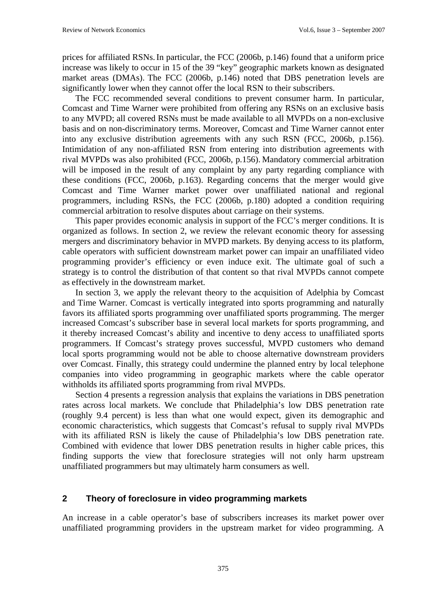prices for affiliated RSNs.In particular, the FCC (2006b, p.146) found that a uniform price increase was likely to occur in 15 of the 39 "key" geographic markets known as designated market areas (DMAs). The FCC (2006b, p.146) noted that DBS penetration levels are significantly lower when they cannot offer the local RSN to their subscribers.

The FCC recommended several conditions to prevent consumer harm. In particular, Comcast and Time Warner were prohibited from offering any RSNs on an exclusive basis to any MVPD; all covered RSNs must be made available to all MVPDs on a non-exclusive basis and on non-discriminatory terms. Moreover, Comcast and Time Warner cannot enter into any exclusive distribution agreements with any such RSN (FCC, 2006b, p.156). Intimidation of any non-affiliated RSN from entering into distribution agreements with rival MVPDs was also prohibited (FCC, 2006b, p.156). Mandatory commercial arbitration will be imposed in the result of any complaint by any party regarding compliance with these conditions (FCC, 2006b, p.163). Regarding concerns that the merger would give Comcast and Time Warner market power over unaffiliated national and regional programmers, including RSNs, the FCC (2006b, p.180) adopted a condition requiring commercial arbitration to resolve disputes about carriage on their systems.

This paper provides economic analysis in support of the FCC's merger conditions. It is organized as follows. In section 2, we review the relevant economic theory for assessing mergers and discriminatory behavior in MVPD markets. By denying access to its platform, cable operators with sufficient downstream market power can impair an unaffiliated video programming provider's efficiency or even induce exit. The ultimate goal of such a strategy is to control the distribution of that content so that rival MVPDs cannot compete as effectively in the downstream market.

In section 3, we apply the relevant theory to the acquisition of Adelphia by Comcast and Time Warner. Comcast is vertically integrated into sports programming and naturally favors its affiliated sports programming over unaffiliated sports programming. The merger increased Comcast's subscriber base in several local markets for sports programming, and it thereby increased Comcast's ability and incentive to deny access to unaffiliated sports programmers. If Comcast's strategy proves successful, MVPD customers who demand local sports programming would not be able to choose alternative downstream providers over Comcast. Finally, this strategy could undermine the planned entry by local telephone companies into video programming in geographic markets where the cable operator withholds its affiliated sports programming from rival MVPDs.

Section 4 presents a regression analysis that explains the variations in DBS penetration rates across local markets. We conclude that Philadelphia's low DBS penetration rate (roughly 9.4 percent) is less than what one would expect, given its demographic and economic characteristics, which suggests that Comcast's refusal to supply rival MVPDs with its affiliated RSN is likely the cause of Philadelphia's low DBS penetration rate. Combined with evidence that lower DBS penetration results in higher cable prices, this finding supports the view that foreclosure strategies will not only harm upstream unaffiliated programmers but may ultimately harm consumers as well.

## **2 Theory of foreclosure in video programming markets**

An increase in a cable operator's base of subscribers increases its market power over unaffiliated programming providers in the upstream market for video programming. A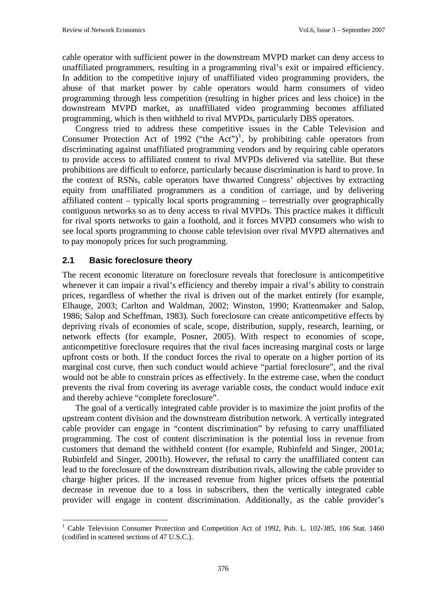cable operator with sufficient power in the downstream MVPD market can deny access to unaffiliated programmers, resulting in a programming rival's exit or impaired efficiency. In addition to the competitive injury of unaffiliated video programming providers, the abuse of that market power by cable operators would harm consumers of video programming through less competition (resulting in higher prices and less choice) in the downstream MVPD market, as unaffiliated video programming becomes affiliated programming, which is then withheld to rival MVPDs, particularly DBS operators.

Congress tried to address these competitive issues in the Cable Television and Consumer Protection Act of [1](#page-4-0)992 ("the  $Act"$ )<sup>1</sup>, by prohibiting cable operators from discriminating against unaffiliated programming vendors and by requiring cable operators to provide access to affiliated content to rival MVPDs delivered via satellite. But these prohibitions are difficult to enforce, particularly because discrimination is hard to prove. In the context of RSNs, cable operators have thwarted Congress' objectives by extracting equity from unaffiliated programmers as a condition of carriage, and by delivering affiliated content – typically local sports programming – terrestrially over geographically contiguous networks so as to deny access to rival MVPDs. This practice makes it difficult for rival sports networks to gain a foothold, and it forces MVPD consumers who wish to see local sports programming to choose cable television over rival MVPD alternatives and to pay monopoly prices for such programming.

## **2.1 Basic foreclosure theory**

1

The recent economic literature on foreclosure reveals that foreclosure is anticompetitive whenever it can impair a rival's efficiency and thereby impair a rival's ability to constrain prices, regardless of whether the rival is driven out of the market entirely (for example, Elhauge, 2003; Carlton and Waldman, 2002; Winston, 1990; Krattenmaker and Salop, 1986; Salop and Scheffman, 1983). Such foreclosure can create anticompetitive effects by depriving rivals of economies of scale, scope, distribution, supply, research, learning, or network effects (for example, Posner, 2005). With respect to economies of scope, anticompetitive foreclosure requires that the rival faces increasing marginal costs or large upfront costs or both. If the conduct forces the rival to operate on a higher portion of its marginal cost curve, then such conduct would achieve "partial foreclosure", and the rival would not be able to constrain prices as effectively. In the extreme case, when the conduct prevents the rival from covering its average variable costs, the conduct would induce exit and thereby achieve "complete foreclosure".

The goal of a vertically integrated cable provider is to maximize the joint profits of the upstream content division and the downstream distribution network. A vertically integrated cable provider can engage in "content discrimination" by refusing to carry unaffiliated programming. The cost of content discrimination is the potential loss in revenue from customers that demand the withheld content (for example, Rubinfeld and Singer, 2001a; Rubinfeld and Singer, 2001b). However, the refusal to carry the unaffiliated content can lead to the foreclosure of the downstream distribution rivals, allowing the cable provider to charge higher prices. If the increased revenue from higher prices offsets the potential decrease in revenue due to a loss in subscribers, then the vertically integrated cable provider will engage in content discrimination. Additionally, as the cable provider's

<span id="page-4-0"></span><sup>&</sup>lt;sup>1</sup> Cable Television Consumer Protection and Competition Act of 1992, Pub. L. 102-385, 106 Stat. 1460 (codified in scattered sections of 47 U.S.C.).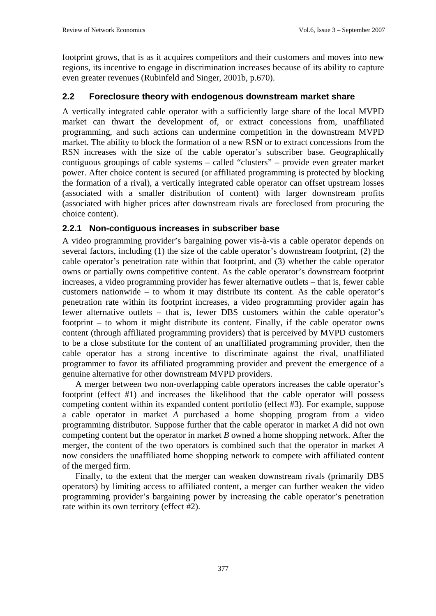footprint grows, that is as it acquires competitors and their customers and moves into new regions, its incentive to engage in discrimination increases because of its ability to capture even greater revenues (Rubinfeld and Singer, 2001b, p.670).

# **2.2 Foreclosure theory with endogenous downstream market share**

A vertically integrated cable operator with a sufficiently large share of the local MVPD market can thwart the development of, or extract concessions from, unaffiliated programming, and such actions can undermine competition in the downstream MVPD market. The ability to block the formation of a new RSN or to extract concessions from the RSN increases with the size of the cable operator's subscriber base. Geographically contiguous groupings of cable systems – called "clusters" – provide even greater market power. After choice content is secured (or affiliated programming is protected by blocking the formation of a rival), a vertically integrated cable operator can offset upstream losses (associated with a smaller distribution of content) with larger downstream profits (associated with higher prices after downstream rivals are foreclosed from procuring the choice content).

# **2.2.1 Non-contiguous increases in subscriber base**

A video programming provider's bargaining power vis-à-vis a cable operator depends on several factors, including (1) the size of the cable operator's downstream footprint, (2) the cable operator's penetration rate within that footprint, and (3) whether the cable operator owns or partially owns competitive content. As the cable operator's downstream footprint increases, a video programming provider has fewer alternative outlets – that is, fewer cable customers nationwide – to whom it may distribute its content. As the cable operator's penetration rate within its footprint increases, a video programming provider again has fewer alternative outlets – that is, fewer DBS customers within the cable operator's footprint – to whom it might distribute its content. Finally, if the cable operator owns content (through affiliated programming providers) that is perceived by MVPD customers to be a close substitute for the content of an unaffiliated programming provider, then the cable operator has a strong incentive to discriminate against the rival, unaffiliated programmer to favor its affiliated programming provider and prevent the emergence of a genuine alternative for other downstream MVPD providers.

A merger between two non-overlapping cable operators increases the cable operator's footprint (effect #1) and increases the likelihood that the cable operator will possess competing content within its expanded content portfolio (effect #3). For example, suppose a cable operator in market *A* purchased a home shopping program from a video programming distributor. Suppose further that the cable operator in market *A* did not own competing content but the operator in market *B* owned a home shopping network. After the merger, the content of the two operators is combined such that the operator in market *A* now considers the unaffiliated home shopping network to compete with affiliated content of the merged firm.

Finally, to the extent that the merger can weaken downstream rivals (primarily DBS operators) by limiting access to affiliated content, a merger can further weaken the video programming provider's bargaining power by increasing the cable operator's penetration rate within its own territory (effect #2).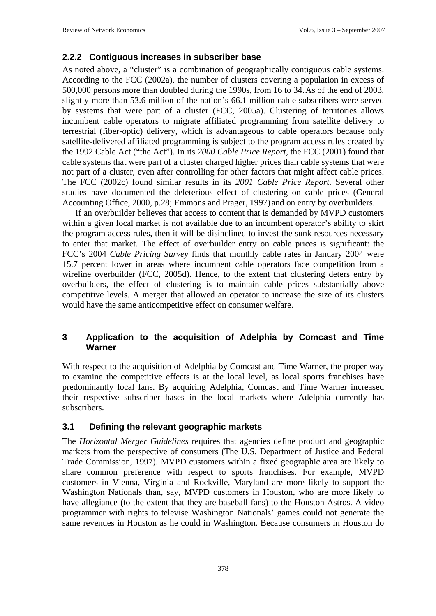# **2.2.2 Contiguous increases in subscriber base**

As noted above, a "cluster" is a combination of geographically contiguous cable systems. According to the FCC (2002a), the number of clusters covering a population in excess of 500,000 persons more than doubled during the 1990s, from 16 to 34.As of the end of 2003, slightly more than 53.6 million of the nation's 66.1 million cable subscribers were served by systems that were part of a cluster (FCC, 2005a). Clustering of territories allows incumbent cable operators to migrate affiliated programming from satellite delivery to terrestrial (fiber-optic) delivery, which is advantageous to cable operators because only satellite-delivered affiliated programming is subject to the program access rules created by the 1992 Cable Act ("the Act"). In its *2000 Cable Price Report*, the FCC (2001) found that cable systems that were part of a cluster charged higher prices than cable systems that were not part of a cluster, even after controlling for other factors that might affect cable prices. The FCC (2002c) found similar results in its *2001 Cable Price Report*. Several other studies have documented the deleterious effect of clustering on cable prices (General Accounting Office, 2000, p.28; Emmons and Prager, 1997) and on entry by overbuilders.

If an overbuilder believes that access to content that is demanded by MVPD customers within a given local market is not available due to an incumbent operator's ability to skirt the program access rules, then it will be disinclined to invest the sunk resources necessary to enter that market. The effect of overbuilder entry on cable prices is significant: the FCC's 2004 *Cable Pricing Survey* finds that monthly cable rates in January 2004 were 15.7 percent lower in areas where incumbent cable operators face competition from a wireline overbuilder (FCC, 2005d). Hence, to the extent that clustering deters entry by overbuilders, the effect of clustering is to maintain cable prices substantially above competitive levels. A merger that allowed an operator to increase the size of its clusters would have the same anticompetitive effect on consumer welfare.

# **3 Application to the acquisition of Adelphia by Comcast and Time Warner**

With respect to the acquisition of Adelphia by Comcast and Time Warner, the proper way to examine the competitive effects is at the local level, as local sports franchises have predominantly local fans. By acquiring Adelphia, Comcast and Time Warner increased their respective subscriber bases in the local markets where Adelphia currently has subscribers.

# **3.1 Defining the relevant geographic markets**

The *Horizontal Merger Guidelines* requires that agencies define product and geographic markets from the perspective of consumers (The U.S. Department of Justice and Federal Trade Commission, 1997). MVPD customers within a fixed geographic area are likely to share common preference with respect to sports franchises. For example, MVPD customers in Vienna, Virginia and Rockville, Maryland are more likely to support the Washington Nationals than, say, MVPD customers in Houston, who are more likely to have allegiance (to the extent that they are baseball fans) to the Houston Astros. A video programmer with rights to televise Washington Nationals' games could not generate the same revenues in Houston as he could in Washington. Because consumers in Houston do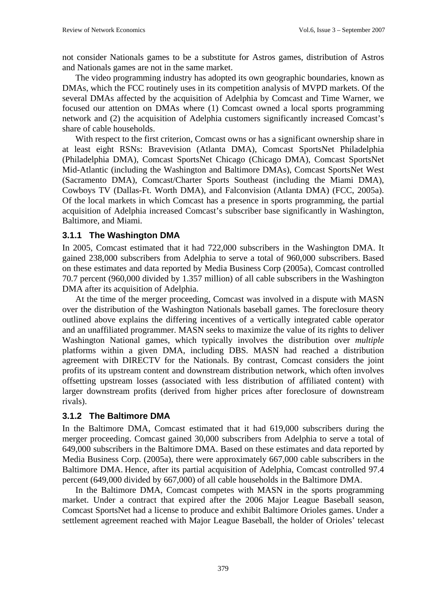not consider Nationals games to be a substitute for Astros games, distribution of Astros and Nationals games are not in the same market.

The video programming industry has adopted its own geographic boundaries, known as DMAs, which the FCC routinely uses in its competition analysis of MVPD markets. Of the several DMAs affected by the acquisition of Adelphia by Comcast and Time Warner, we focused our attention on DMAs where (1) Comcast owned a local sports programming network and (2) the acquisition of Adelphia customers significantly increased Comcast's share of cable households.

With respect to the first criterion, Comcast owns or has a significant ownership share in at least eight RSNs: Bravevision (Atlanta DMA), Comcast SportsNet Philadelphia (Philadelphia DMA), Comcast SportsNet Chicago (Chicago DMA), Comcast SportsNet Mid-Atlantic (including the Washington and Baltimore DMAs), Comcast SportsNet West (Sacramento DMA), Comcast/Charter Sports Southeast (including the Miami DMA), Cowboys TV (Dallas-Ft. Worth DMA), and Falconvision (Atlanta DMA) (FCC, 2005a). Of the local markets in which Comcast has a presence in sports programming, the partial acquisition of Adelphia increased Comcast's subscriber base significantly in Washington, Baltimore, and Miami.

## **3.1.1 The Washington DMA**

In 2005, Comcast estimated that it had 722,000 subscribers in the Washington DMA. It gained 238,000 subscribers from Adelphia to serve a total of 960,000 subscribers. Based on these estimates and data reported by Media Business Corp (2005a), Comcast controlled 70.7 percent (960,000 divided by 1.357 million) of all cable subscribers in the Washington DMA after its acquisition of Adelphia.

At the time of the merger proceeding, Comcast was involved in a dispute with MASN over the distribution of the Washington Nationals baseball games. The foreclosure theory outlined above explains the differing incentives of a vertically integrated cable operator and an unaffiliated programmer. MASN seeks to maximize the value of its rights to deliver Washington National games, which typically involves the distribution over *multiple* platforms within a given DMA, including DBS. MASN had reached a distribution agreement with DIRECTV for the Nationals. By contrast, Comcast considers the joint profits of its upstream content and downstream distribution network, which often involves offsetting upstream losses (associated with less distribution of affiliated content) with larger downstream profits (derived from higher prices after foreclosure of downstream rivals).

# **3.1.2 The Baltimore DMA**

In the Baltimore DMA, Comcast estimated that it had 619,000 subscribers during the merger proceeding. Comcast gained 30,000 subscribers from Adelphia to serve a total of 649,000 subscribers in the Baltimore DMA. Based on these estimates and data reported by Media Business Corp. (2005a), there were approximately 667,000 cable subscribers in the Baltimore DMA. Hence, after its partial acquisition of Adelphia, Comcast controlled 97.4 percent (649,000 divided by 667,000) of all cable households in the Baltimore DMA.

In the Baltimore DMA, Comcast competes with MASN in the sports programming market. Under a contract that expired after the 2006 Major League Baseball season, Comcast SportsNet had a license to produce and exhibit Baltimore Orioles games. Under a settlement agreement reached with Major League Baseball, the holder of Orioles' telecast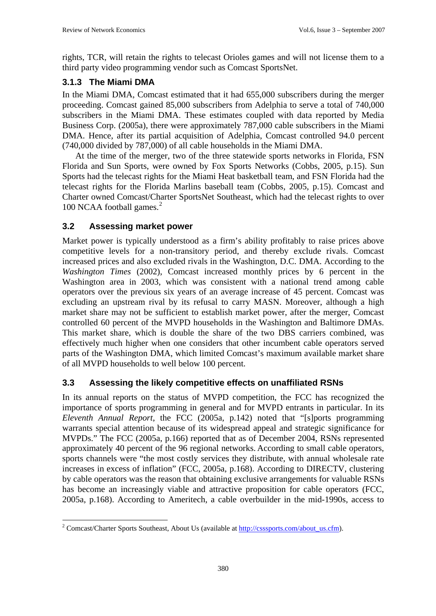rights, TCR, will retain the rights to telecast Orioles games and will not license them to a third party video programming vendor such as Comcast SportsNet.

# **3.1.3 The Miami DMA**

In the Miami DMA, Comcast estimated that it had 655,000 subscribers during the merger proceeding. Comcast gained 85,000 subscribers from Adelphia to serve a total of 740,000 subscribers in the Miami DMA. These estimates coupled with data reported by Media Business Corp. (2005a), there were approximately 787,000 cable subscribers in the Miami DMA. Hence, after its partial acquisition of Adelphia, Comcast controlled 94.0 percent (740,000 divided by 787,000) of all cable households in the Miami DMA.

At the time of the merger, two of the three statewide sports networks in Florida, FSN Florida and Sun Sports, were owned by Fox Sports Networks (Cobbs, 2005, p.15). Sun Sports had the telecast rights for the Miami Heat basketball team, and FSN Florida had the telecast rights for the Florida Marlins baseball team (Cobbs, 2005, p.15). Comcast and Charter owned Comcast/Charter SportsNet Southeast, which had the telecast rights to over 100 NCAA football games.<sup>[2](#page-8-0)</sup>

# **3.2 Assessing market power**

Market power is typically understood as a firm's ability profitably to raise prices above competitive levels for a non-transitory period, and thereby exclude rivals. Comcast increased prices and also excluded rivals in the Washington, D.C. DMA. According to the *Washington Times* (2002), Comcast increased monthly prices by 6 percent in the Washington area in 2003, which was consistent with a national trend among cable operators over the previous six years of an average increase of 45 percent. Comcast was excluding an upstream rival by its refusal to carry MASN. Moreover, although a high market share may not be sufficient to establish market power, after the merger, Comcast controlled 60 percent of the MVPD households in the Washington and Baltimore DMAs. This market share, which is double the share of the two DBS carriers combined, was effectively much higher when one considers that other incumbent cable operators served parts of the Washington DMA, which limited Comcast's maximum available market share of all MVPD households to well below 100 percent.

# **3.3 Assessing the likely competitive effects on unaffiliated RSNs**

In its annual reports on the status of MVPD competition, the FCC has recognized the importance of sports programming in general and for MVPD entrants in particular. In its *Eleventh Annual Report*, the FCC (2005a, p.142) noted that "[s]ports programming warrants special attention because of its widespread appeal and strategic significance for MVPDs." The FCC (2005a, p.166) reported that as of December 2004, RSNs represented approximately 40 percent of the 96 regional networks. According to small cable operators, sports channels were "the most costly services they distribute, with annual wholesale rate increases in excess of inflation" (FCC, 2005a, p.168). According to DIRECTV, clustering by cable operators was the reason that obtaining exclusive arrangements for valuable RSNs has become an increasingly viable and attractive proposition for cable operators (FCC, 2005a, p.168). According to Ameritech, a cable overbuilder in the mid-1990s, access to

<span id="page-8-0"></span><sup>&</sup>lt;u>2</u><br>
<sup>2</sup> Comcast/Charter Sports Southeast, About Us (available at [http://csssports.com/about\\_us.cfm](http://csssports.com/about_us.cfm)).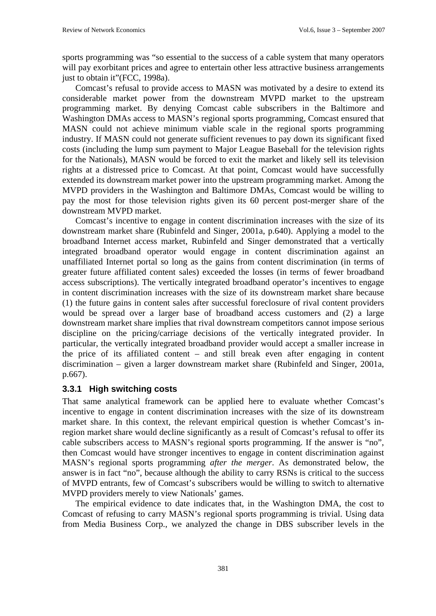sports programming was "so essential to the success of a cable system that many operators will pay exorbitant prices and agree to entertain other less attractive business arrangements just to obtain it"(FCC, 1998a).

Comcast's refusal to provide access to MASN was motivated by a desire to extend its considerable market power from the downstream MVPD market to the upstream programming market. By denying Comcast cable subscribers in the Baltimore and Washington DMAs access to MASN's regional sports programming, Comcast ensured that MASN could not achieve minimum viable scale in the regional sports programming industry. If MASN could not generate sufficient revenues to pay down its significant fixed costs (including the lump sum payment to Major League Baseball for the television rights for the Nationals), MASN would be forced to exit the market and likely sell its television rights at a distressed price to Comcast. At that point, Comcast would have successfully extended its downstream market power into the upstream programming market. Among the MVPD providers in the Washington and Baltimore DMAs, Comcast would be willing to pay the most for those television rights given its 60 percent post-merger share of the downstream MVPD market.

Comcast's incentive to engage in content discrimination increases with the size of its downstream market share (Rubinfeld and Singer, 2001a, p.640). Applying a model to the broadband Internet access market, Rubinfeld and Singer demonstrated that a vertically integrated broadband operator would engage in content discrimination against an unaffiliated Internet portal so long as the gains from content discrimination (in terms of greater future affiliated content sales) exceeded the losses (in terms of fewer broadband access subscriptions). The vertically integrated broadband operator's incentives to engage in content discrimination increases with the size of its downstream market share because (1) the future gains in content sales after successful foreclosure of rival content providers would be spread over a larger base of broadband access customers and (2) a large downstream market share implies that rival downstream competitors cannot impose serious discipline on the pricing/carriage decisions of the vertically integrated provider. In particular, the vertically integrated broadband provider would accept a smaller increase in the price of its affiliated content – and still break even after engaging in content discrimination – given a larger downstream market share (Rubinfeld and Singer, 2001a, p.667).

## **3.3.1 High switching costs**

That same analytical framework can be applied here to evaluate whether Comcast's incentive to engage in content discrimination increases with the size of its downstream market share. In this context, the relevant empirical question is whether Comcast's inregion market share would decline significantly as a result of Comcast's refusal to offer its cable subscribers access to MASN's regional sports programming. If the answer is "no", then Comcast would have stronger incentives to engage in content discrimination against MASN's regional sports programming *after the merger*. As demonstrated below, the answer is in fact "no", because although the ability to carry RSNs is critical to the success of MVPD entrants, few of Comcast's subscribers would be willing to switch to alternative MVPD providers merely to view Nationals' games.

The empirical evidence to date indicates that, in the Washington DMA, the cost to Comcast of refusing to carry MASN's regional sports programming is trivial. Using data from Media Business Corp., we analyzed the change in DBS subscriber levels in the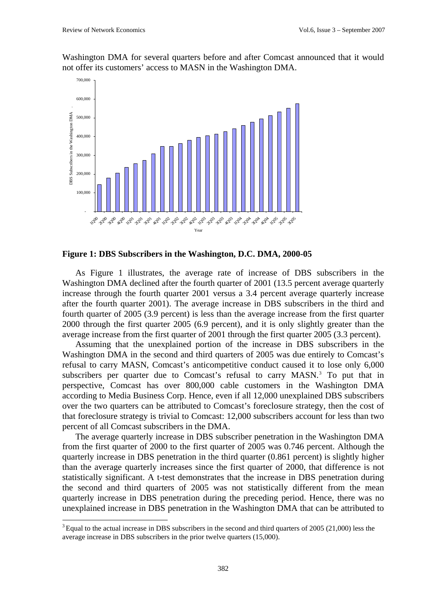1

Washington DMA for several quarters before and after Comcast announced that it would not offer its customers' access to MASN in the Washington DMA.



### **Figure 1: DBS Subscribers in the Washington, D.C. DMA, 2000-05**

As Figure 1 illustrates, the average rate of increase of DBS subscribers in the Washington DMA declined after the fourth quarter of 2001 (13.5 percent average quarterly increase through the fourth quarter 2001 versus a 3.4 percent average quarterly increase after the fourth quarter 2001). The average increase in DBS subscribers in the third and fourth quarter of 2005 (3.9 percent) is less than the average increase from the first quarter 2000 through the first quarter 2005 (6.9 percent), and it is only slightly greater than the average increase from the first quarter of 2001 through the first quarter 2005 (3.3 percent).

Assuming that the unexplained portion of the increase in DBS subscribers in the Washington DMA in the second and third quarters of 2005 was due entirely to Comcast's refusal to carry MASN, Comcast's anticompetitive conduct caused it to lose only 6,000 subscribers per quarter due to Comcast's refusal to carry  $MASN$ .<sup>[3](#page-10-0)</sup> To put that in perspective, Comcast has over 800,000 cable customers in the Washington DMA according to Media Business Corp. Hence, even if all 12,000 unexplained DBS subscribers over the two quarters can be attributed to Comcast's foreclosure strategy, then the cost of that foreclosure strategy is trivial to Comcast: 12,000 subscribers account for less than two percent of all Comcast subscribers in the DMA.

The average quarterly increase in DBS subscriber penetration in the Washington DMA from the first quarter of 2000 to the first quarter of 2005 was 0.746 percent. Although the quarterly increase in DBS penetration in the third quarter (0.861 percent) is slightly higher than the average quarterly increases since the first quarter of 2000, that difference is not statistically significant. A t-test demonstrates that the increase in DBS penetration during the second and third quarters of 2005 was not statistically different from the mean quarterly increase in DBS penetration during the preceding period. Hence, there was no unexplained increase in DBS penetration in the Washington DMA that can be attributed to

<span id="page-10-0"></span> $3$  Equal to the actual increase in DBS subscribers in the second and third quarters of 2005 (21,000) less the average increase in DBS subscribers in the prior twelve quarters (15,000).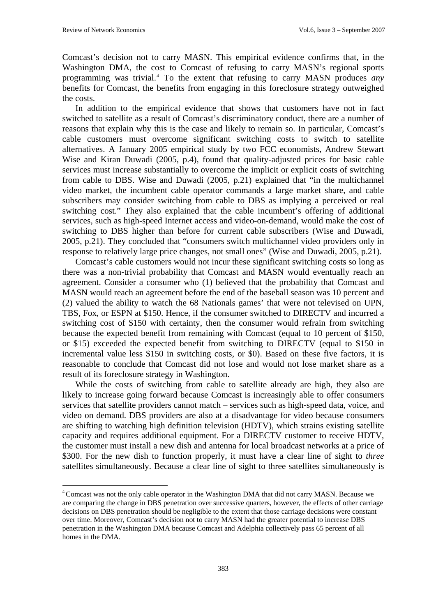1

Comcast's decision not to carry MASN. This empirical evidence confirms that, in the Washington DMA, the cost to Comcast of refusing to carry MASN's regional sports programming was trivial.[4](#page-11-0) To the extent that refusing to carry MASN produces *any*  benefits for Comcast, the benefits from engaging in this foreclosure strategy outweighed the costs.

In addition to the empirical evidence that shows that customers have not in fact switched to satellite as a result of Comcast's discriminatory conduct, there are a number of reasons that explain why this is the case and likely to remain so. In particular, Comcast's cable customers must overcome significant switching costs to switch to satellite alternatives. A January 2005 empirical study by two FCC economists, Andrew Stewart Wise and Kiran Duwadi (2005, p.4), found that quality-adjusted prices for basic cable services must increase substantially to overcome the implicit or explicit costs of switching from cable to DBS. Wise and Duwadi (2005, p.21) explained that "in the multichannel video market, the incumbent cable operator commands a large market share, and cable subscribers may consider switching from cable to DBS as implying a perceived or real switching cost." They also explained that the cable incumbent's offering of additional services, such as high-speed Internet access and video-on-demand, would make the cost of switching to DBS higher than before for current cable subscribers (Wise and Duwadi, 2005, p.21). They concluded that "consumers switch multichannel video providers only in response to relatively large price changes, not small ones" (Wise and Duwadi, 2005, p.21).

Comcast's cable customers would not incur these significant switching costs so long as there was a non-trivial probability that Comcast and MASN would eventually reach an agreement. Consider a consumer who (1) believed that the probability that Comcast and MASN would reach an agreement before the end of the baseball season was 10 percent and (2) valued the ability to watch the 68 Nationals games' that were not televised on UPN, TBS, Fox, or ESPN at \$150. Hence, if the consumer switched to DIRECTV and incurred a switching cost of \$150 with certainty, then the consumer would refrain from switching because the expected benefit from remaining with Comcast (equal to 10 percent of \$150, or \$15) exceeded the expected benefit from switching to DIRECTV (equal to \$150 in incremental value less \$150 in switching costs, or \$0). Based on these five factors, it is reasonable to conclude that Comcast did not lose and would not lose market share as a result of its foreclosure strategy in Washington.

While the costs of switching from cable to satellite already are high, they also are likely to increase going forward because Comcast is increasingly able to offer consumers services that satellite providers cannot match – services such as high-speed data, voice, and video on demand. DBS providers are also at a disadvantage for video because consumers are shifting to watching high definition television (HDTV), which strains existing satellite capacity and requires additional equipment. For a DIRECTV customer to receive HDTV, the customer must install a new dish and antenna for local broadcast networks at a price of \$300. For the new dish to function properly, it must have a clear line of sight to *three* satellites simultaneously. Because a clear line of sight to three satellites simultaneously is

<span id="page-11-0"></span><sup>4</sup> Comcast was not the only cable operator in the Washington DMA that did not carry MASN. Because we are comparing the change in DBS penetration over successive quarters, however, the effects of other carriage decisions on DBS penetration should be negligible to the extent that those carriage decisions were constant over time. Moreover, Comcast's decision not to carry MASN had the greater potential to increase DBS penetration in the Washington DMA because Comcast and Adelphia collectively pass 65 percent of all homes in the DMA.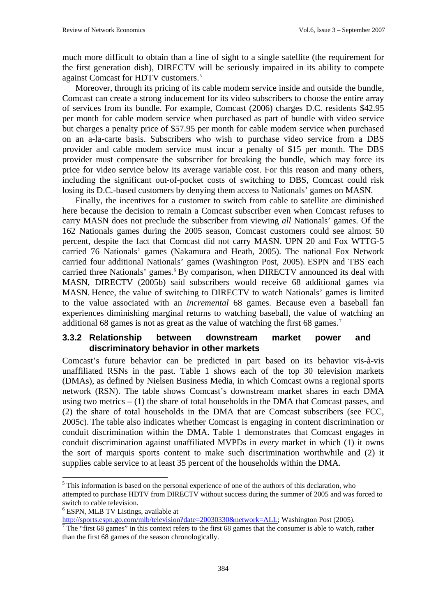much more difficult to obtain than a line of sight to a single satellite (the requirement for the first generation dish), DIRECTV will be seriously impaired in its ability to compete against Comcast for HDTV customers.<sup>[5](#page-12-0)</sup>

Moreover, through its pricing of its cable modem service inside and outside the bundle, Comcast can create a strong inducement for its video subscribers to choose the entire array of services from its bundle. For example, Comcast (2006) charges D.C. residents \$42.95 per month for cable modem service when purchased as part of bundle with video service but charges a penalty price of \$57.95 per month for cable modem service when purchased on an a-la-carte basis. Subscribers who wish to purchase video service from a DBS provider and cable modem service must incur a penalty of \$15 per month. The DBS provider must compensate the subscriber for breaking the bundle, which may force its price for video service below its average variable cost. For this reason and many others, including the significant out-of-pocket costs of switching to DBS, Comcast could risk losing its D.C.-based customers by denying them access to Nationals' games on MASN.

Finally, the incentives for a customer to switch from cable to satellite are diminished here because the decision to remain a Comcast subscriber even when Comcast refuses to carry MASN does not preclude the subscriber from viewing *all* Nationals' games. Of the 162 Nationals games during the 2005 season, Comcast customers could see almost 50 percent, despite the fact that Comcast did not carry MASN. UPN 20 and Fox WTTG-5 carried 76 Nationals' games (Nakamura and Heath, 2005). The national Fox Network carried four additional Nationals' games (Washington Post, 2005). ESPN and TBS each carried three Nationals' games. [6](#page-12-1) By comparison, when DIRECTV announced its deal with MASN, DIRECTV (2005b) said subscribers would receive 68 additional games via MASN. Hence, the value of switching to DIRECTV to watch Nationals' games is limited to the value associated with an *incremental* 68 games. Because even a baseball fan experiences diminishing marginal returns to watching baseball, the value of watching an additional 68 games is not as great as the value of watching the first 68 games.<sup>[7](#page-12-2)</sup>

### **3.3.2 Relationship between downstream market power and discriminatory behavior in other markets**

Comcast's future behavior can be predicted in part based on its behavior vis-à-vis unaffiliated RSNs in the past. Table 1 shows each of the top 30 television markets (DMAs), as defined by Nielsen Business Media, in which Comcast owns a regional sports network (RSN). The table shows Comcast's downstream market shares in each DMA using two metrics  $- (1)$  the share of total households in the DMA that Comcast passes, and (2) the share of total households in the DMA that are Comcast subscribers (see FCC, 2005c). The table also indicates whether Comcast is engaging in content discrimination or conduit discrimination within the DMA. Table 1 demonstrates that Comcast engages in conduit discrimination against unaffiliated MVPDs in *every* market in which (1) it owns the sort of marquis sports content to make such discrimination worthwhile and (2) it supplies cable service to at least 35 percent of the households within the DMA.

1

<http://sports.espn.go.com/mlb/television?date=20030330&network=ALL>; Washington Post (2005).

<span id="page-12-0"></span> $<sup>5</sup>$  This information is based on the personal experience of one of the authors of this declaration, who</sup> attempted to purchase HDTV from DIRECTV without success during the summer of 2005 and was forced to switch to cable television.

<span id="page-12-1"></span><sup>6</sup> ESPN, MLB TV Listings, available at

<span id="page-12-2"></span> $\frac{1}{7}$  The "first 68 games" in this context refers to the first 68 games that the consumer is able to watch, rather than the first 68 games of the season chronologically.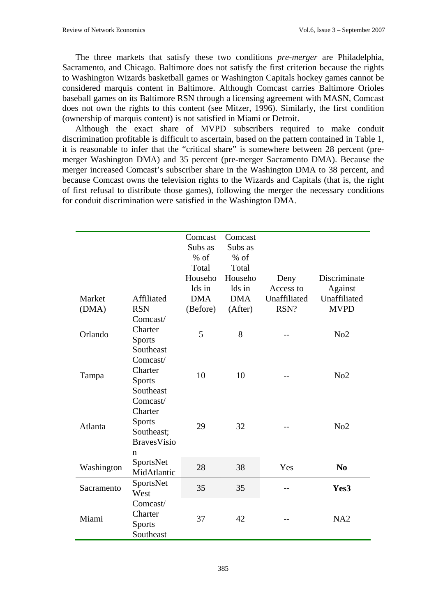The three markets that satisfy these two conditions *pre-merger* are Philadelphia, Sacramento, and Chicago. Baltimore does not satisfy the first criterion because the rights to Washington Wizards basketball games or Washington Capitals hockey games cannot be considered marquis content in Baltimore. Although Comcast carries Baltimore Orioles baseball games on its Baltimore RSN through a licensing agreement with MASN, Comcast does not own the rights to this content (see Mitzer, 1996). Similarly, the first condition (ownership of marquis content) is not satisfied in Miami or Detroit.

Although the exact share of MVPD subscribers required to make conduit discrimination profitable is difficult to ascertain, based on the pattern contained in Table 1, it is reasonable to infer that the "critical share" is somewhere between 28 percent (premerger Washington DMA) and 35 percent (pre-merger Sacramento DMA). Because the merger increased Comcast's subscriber share in the Washington DMA to 38 percent, and because Comcast owns the television rights to the Wizards and Capitals (that is, the right of first refusal to distribute those games), following the merger the necessary conditions for conduit discrimination were satisfied in the Washington DMA.

|            |                                                                                         | Comcast<br>Subs as<br>$%$ of<br>Total<br>Househo<br>lds in | Comcast<br>Subs as<br>$%$ of<br>Total<br>Househo<br>lds in | Deny<br>Access to | Discriminate<br>Against |
|------------|-----------------------------------------------------------------------------------------|------------------------------------------------------------|------------------------------------------------------------|-------------------|-------------------------|
| Market     | Affiliated                                                                              | <b>DMA</b>                                                 | <b>DMA</b>                                                 | Unaffiliated      | Unaffiliated            |
| (DMA)      | <b>RSN</b>                                                                              | (Before)                                                   | (After)                                                    | RSN?              | <b>MVPD</b>             |
| Orlando    | Comcast/<br>Charter<br><b>Sports</b><br>Southeast                                       | 5                                                          | 8                                                          |                   | No2                     |
| Tampa      | Comcast/<br>Charter<br><b>Sports</b><br>Southeast                                       | 10                                                         | 10                                                         |                   | No2                     |
| Atlanta    | Comcast/<br>Charter<br><b>Sports</b><br>Southeast;<br><b>BravesVisio</b><br>$\mathbf n$ | 29                                                         | 32                                                         |                   | No2                     |
| Washington | SportsNet<br>MidAtlantic                                                                | 28                                                         | 38                                                         | Yes               | N <sub>0</sub>          |
| Sacramento | SportsNet<br>West                                                                       | 35                                                         | 35                                                         |                   | Yes3                    |
| Miami      | Comcast/<br>Charter<br><b>Sports</b><br>Southeast                                       | 37                                                         | 42                                                         |                   | NA <sub>2</sub>         |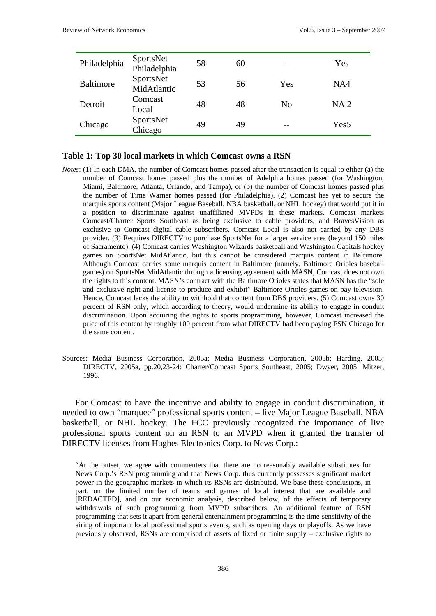| Philadelphia | SportsNet<br>Philadelphia | 58 | 60 | $ -$ | Yes              |
|--------------|---------------------------|----|----|------|------------------|
| Baltimore    | SportsNet<br>MidAtlantic  | 53 | 56 | Yes  | NA4              |
| Detroit      | Comcast<br>Local          | 48 | 48 | No   | NA <sub>2</sub>  |
| Chicago      | SportsNet<br>Chicago      | 49 | 49 |      | Yes <sub>5</sub> |

### **Table 1: Top 30 local markets in which Comcast owns a RSN**

- *Notes*: (1) In each DMA, the number of Comcast homes passed after the transaction is equal to either (a) the number of Comcast homes passed plus the number of Adelphia homes passed (for Washington, Miami, Baltimore, Atlanta, Orlando, and Tampa), or (b) the number of Comcast homes passed plus the number of Time Warner homes passed (for Philadelphia). (2) Comcast has yet to secure the marquis sports content (Major League Baseball, NBA basketball, or NHL hockey) that would put it in a position to discriminate against unaffiliated MVPDs in these markets. Comcast markets Comcast/Charter Sports Southeast as being exclusive to cable providers, and BravesVision as exclusive to Comcast digital cable subscribers. Comcast Local is also not carried by any DBS provider. (3) Requires DIRECTV to purchase SportsNet for a larger service area (beyond 150 miles of Sacramento). (4) Comcast carries Washington Wizards basketball and Washington Capitals hockey games on SportsNet MidAtlantic, but this cannot be considered marquis content in Baltimore. Although Comcast carries some marquis content in Baltimore (namely, Baltimore Orioles baseball games) on SportsNet MidAtlantic through a licensing agreement with MASN, Comcast does not own the rights to this content. MASN's contract with the Baltimore Orioles states that MASN has the "sole and exclusive right and license to produce and exhibit" Baltimore Orioles games on pay television. Hence, Comcast lacks the ability to withhold that content from DBS providers. (5) Comcast owns 30 percent of RSN only, which according to theory, would undermine its ability to engage in conduit discrimination. Upon acquiring the rights to sports programming, however, Comcast increased the price of this content by roughly 100 percent from what DIRECTV had been paying FSN Chicago for the same content.
- Sources: Media Business Corporation, 2005a; Media Business Corporation, 2005b; Harding, 2005; DIRECTV, 2005a, pp.20,23-24; Charter/Comcast Sports Southeast, 2005; Dwyer, 2005; Mitzer, 1996.

For Comcast to have the incentive and ability to engage in conduit discrimination, it needed to own "marquee" professional sports content – live Major League Baseball, NBA basketball, or NHL hockey. The FCC previously recognized the importance of live professional sports content on an RSN to an MVPD when it granted the transfer of DIRECTV licenses from Hughes Electronics Corp. to News Corp.:

"At the outset, we agree with commenters that there are no reasonably available substitutes for News Corp.'s RSN programming and that News Corp. thus currently possesses significant market power in the geographic markets in which its RSNs are distributed. We base these conclusions, in part, on the limited number of teams and games of local interest that are available and [REDACTED], and on our economic analysis, described below, of the effects of temporary withdrawals of such programming from MVPD subscribers. An additional feature of RSN programming that sets it apart from general entertainment programming is the time-sensitivity of the airing of important local professional sports events, such as opening days or playoffs. As we have previously observed, RSNs are comprised of assets of fixed or finite supply – exclusive rights to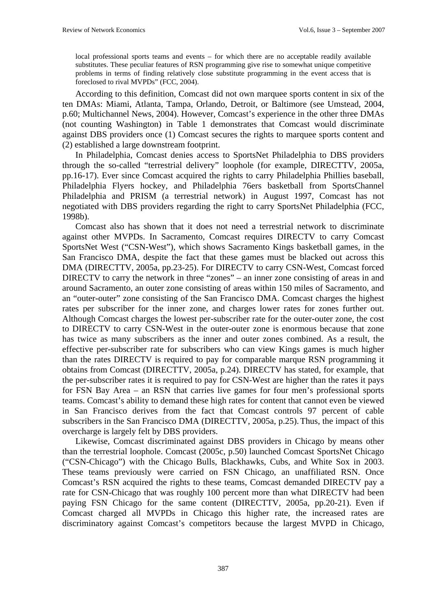local professional sports teams and events – for which there are no acceptable readily available substitutes. These peculiar features of RSN programming give rise to somewhat unique competitive problems in terms of finding relatively close substitute programming in the event access that is foreclosed to rival MVPDs" (FCC, 2004).

According to this definition, Comcast did not own marquee sports content in six of the ten DMAs: Miami, Atlanta, Tampa, Orlando, Detroit, or Baltimore (see Umstead, 2004, p.60; Multichannel News, 2004). However, Comcast's experience in the other three DMAs (not counting Washington) in Table 1 demonstrates that Comcast would discriminate against DBS providers once (1) Comcast secures the rights to marquee sports content and (2) established a large downstream footprint.

In Philadelphia, Comcast denies access to SportsNet Philadelphia to DBS providers through the so-called "terrestrial delivery" loophole (for example, DIRECTTV, 2005a, pp.16-17). Ever since Comcast acquired the rights to carry Philadelphia Phillies baseball, Philadelphia Flyers hockey, and Philadelphia 76ers basketball from SportsChannel Philadelphia and PRISM (a terrestrial network) in August 1997, Comcast has not negotiated with DBS providers regarding the right to carry SportsNet Philadelphia (FCC, 1998b).

Comcast also has shown that it does not need a terrestrial network to discriminate against other MVPDs. In Sacramento, Comcast requires DIRECTV to carry Comcast SportsNet West ("CSN-West"), which shows Sacramento Kings basketball games, in the San Francisco DMA, despite the fact that these games must be blacked out across this DMA (DIRECTTV, 2005a, pp.23-25). For DIRECTV to carry CSN-West, Comcast forced DIRECTV to carry the network in three "zones" – an inner zone consisting of areas in and around Sacramento, an outer zone consisting of areas within 150 miles of Sacramento, and an "outer-outer" zone consisting of the San Francisco DMA. Comcast charges the highest rates per subscriber for the inner zone, and charges lower rates for zones further out. Although Comcast charges the lowest per-subscriber rate for the outer-outer zone, the cost to DIRECTV to carry CSN-West in the outer-outer zone is enormous because that zone has twice as many subscribers as the inner and outer zones combined. As a result, the effective per-subscriber rate for subscribers who can view Kings games is much higher than the rates DIRECTV is required to pay for comparable marque RSN programming it obtains from Comcast (DIRECTTV, 2005a, p.24). DIRECTV has stated, for example, that the per-subscriber rates it is required to pay for CSN-West are higher than the rates it pays for FSN Bay Area – an RSN that carries live games for four men's professional sports teams. Comcast's ability to demand these high rates for content that cannot even be viewed in San Francisco derives from the fact that Comcast controls 97 percent of cable subscribers in the San Francisco DMA (DIRECTTV, 2005a, p.25).Thus, the impact of this overcharge is largely felt by DBS providers.

Likewise, Comcast discriminated against DBS providers in Chicago by means other than the terrestrial loophole. Comcast (2005c, p.50) launched Comcast SportsNet Chicago ("CSN-Chicago") with the Chicago Bulls, Blackhawks, Cubs, and White Sox in 2003. These teams previously were carried on FSN Chicago, an unaffiliated RSN. Once Comcast's RSN acquired the rights to these teams, Comcast demanded DIRECTV pay a rate for CSN-Chicago that was roughly 100 percent more than what DIRECTV had been paying FSN Chicago for the same content (DIRECTTV, 2005a, pp.20-21). Even if Comcast charged all MVPDs in Chicago this higher rate, the increased rates are discriminatory against Comcast's competitors because the largest MVPD in Chicago,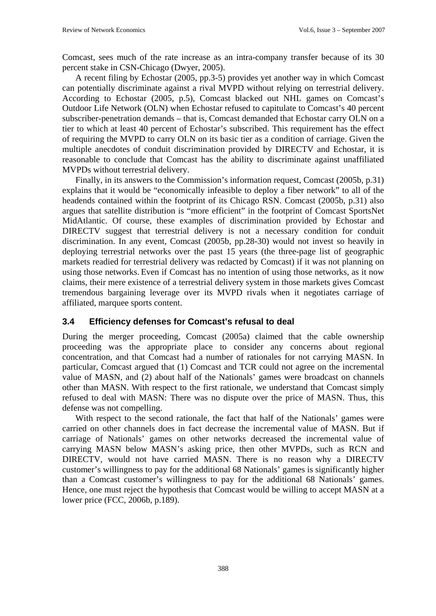Comcast, sees much of the rate increase as an intra-company transfer because of its 30 percent stake in CSN-Chicago (Dwyer, 2005).

A recent filing by Echostar (2005, pp.3-5) provides yet another way in which Comcast can potentially discriminate against a rival MVPD without relying on terrestrial delivery. According to Echostar (2005, p.5), Comcast blacked out NHL games on Comcast's Outdoor Life Network (OLN) when Echostar refused to capitulate to Comcast's 40 percent subscriber-penetration demands – that is, Comcast demanded that Echostar carry OLN on a tier to which at least 40 percent of Echostar's subscribed. This requirement has the effect of requiring the MVPD to carry OLN on its basic tier as a condition of carriage. Given the multiple anecdotes of conduit discrimination provided by DIRECTV and Echostar, it is reasonable to conclude that Comcast has the ability to discriminate against unaffiliated MVPDs without terrestrial delivery.

Finally, in its answers to the Commission's information request, Comcast (2005b, p.31) explains that it would be "economically infeasible to deploy a fiber network" to all of the headends contained within the footprint of its Chicago RSN. Comcast (2005b, p.31) also argues that satellite distribution is "more efficient" in the footprint of Comcast SportsNet MidAtlantic. Of course, these examples of discrimination provided by Echostar and DIRECTV suggest that terrestrial delivery is not a necessary condition for conduit discrimination. In any event, Comcast (2005b, pp.28-30) would not invest so heavily in deploying terrestrial networks over the past 15 years (the three-page list of geographic markets readied for terrestrial delivery was redacted by Comcast) if it was not planning on using those networks. Even if Comcast has no intention of using those networks, as it now claims, their mere existence of a terrestrial delivery system in those markets gives Comcast tremendous bargaining leverage over its MVPD rivals when it negotiates carriage of affiliated, marquee sports content.

## **3.4 Efficiency defenses for Comcast's refusal to deal**

During the merger proceeding, Comcast (2005a) claimed that the cable ownership proceeding was the appropriate place to consider any concerns about regional concentration, and that Comcast had a number of rationales for not carrying MASN. In particular, Comcast argued that (1) Comcast and TCR could not agree on the incremental value of MASN, and (2) about half of the Nationals' games were broadcast on channels other than MASN. With respect to the first rationale, we understand that Comcast simply refused to deal with MASN: There was no dispute over the price of MASN. Thus, this defense was not compelling.

With respect to the second rationale, the fact that half of the Nationals' games were carried on other channels does in fact decrease the incremental value of MASN. But if carriage of Nationals' games on other networks decreased the incremental value of carrying MASN below MASN's asking price, then other MVPDs, such as RCN and DIRECTV, would not have carried MASN. There is no reason why a DIRECTV customer's willingness to pay for the additional 68 Nationals' games is significantly higher than a Comcast customer's willingness to pay for the additional 68 Nationals' games. Hence, one must reject the hypothesis that Comcast would be willing to accept MASN at a lower price (FCC, 2006b, p.189).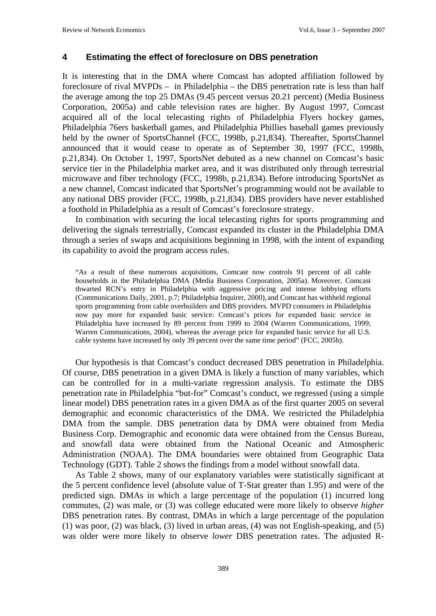### **4 Estimating the effect of foreclosure on DBS penetration**

It is interesting that in the DMA where Comcast has adopted affiliation followed by foreclosure of rival MVPDs – in Philadelphia – the DBS penetration rate is less than half the average among the top 25 DMAs (9.45 percent versus 20.21 percent) (Media Business Corporation, 2005a) and cable television rates are higher. By August 1997, Comcast acquired all of the local telecasting rights of Philadelphia Flyers hockey games, Philadelphia 76ers basketball games, and Philadelphia Phillies baseball games previously held by the owner of SportsChannel (FCC, 1998b, p.21,834). Thereafter, SportsChannel announced that it would cease to operate as of September 30, 1997 (FCC, 1998b, p.21,834). On October 1, 1997, SportsNet debuted as a new channel on Comcast's basic service tier in the Philadelphia market area, and it was distributed only through terrestrial microwave and fiber technology (FCC, 1998b, p.21,834). Before introducing SportsNet as a new channel, Comcast indicated that SportsNet's programming would not be available to any national DBS provider (FCC, 1998b, p.21,834). DBS providers have never established a foothold in Philadelphia as a result of Comcast's foreclosure strategy.

In combination with securing the local telecasting rights for sports programming and delivering the signals terrestrially, Comcast expanded its cluster in the Philadelphia DMA through a series of swaps and acquisitions beginning in 1998, with the intent of expanding its capability to avoid the program access rules.

"As a result of these numerous acquisitions, Comcast now controls 91 percent of all cable households in the Philadelphia DMA (Media Business Corporation, 2005a). Moreover, Comcast thwarted RCN's entry in Philadelphia with aggressive pricing and intense lobbying efforts (Communications Daily, 2001, p.7; Philadelphia Inquirer, 2000), and Comcast has withheld regional sports programming from cable overbuilders and DBS providers. MVPD consumers in Philadelphia now pay more for expanded basic service: Comcast's prices for expanded basic service in Philadelphia have increased by 89 percent from 1999 to 2004 (Warren Communications, 1999; Warren Communications, 2004), whereas the average price for expanded basic service for all U.S. cable systems have increased by only 39 percent over the same time period" (FCC, 2005b).

Our hypothesis is that Comcast's conduct decreased DBS penetration in Philadelphia. Of course, DBS penetration in a given DMA is likely a function of many variables, which can be controlled for in a multi-variate regression analysis. To estimate the DBS penetration rate in Philadelphia "but-for" Comcast's conduct, we regressed (using a simple linear model) DBS penetration rates in a given DMA as of the first quarter 2005 on several demographic and economic characteristics of the DMA. We restricted the Philadelphia DMA from the sample. DBS penetration data by DMA were obtained from Media Business Corp. Demographic and economic data were obtained from the Census Bureau, and snowfall data were obtained from the National Oceanic and Atmospheric Administration (NOAA). The DMA boundaries were obtained from Geographic Data Technology (GDT). Table 2 shows the findings from a model without snowfall data.

As Table 2 shows, many of our explanatory variables were statistically significant at the 5 percent confidence level (absolute value of T-Stat greater than 1.95) and were of the predicted sign. DMAs in which a large percentage of the population (1) incurred long commutes, (2) was male, or (3) was college educated were more likely to observe *higher* DBS penetration rates. By contrast, DMAs in which a large percentage of the population (1) was poor, (2) was black, (3) lived in urban areas, (4) was not English-speaking, and (5) was older were more likely to observe *lower* DBS penetration rates. The adjusted R-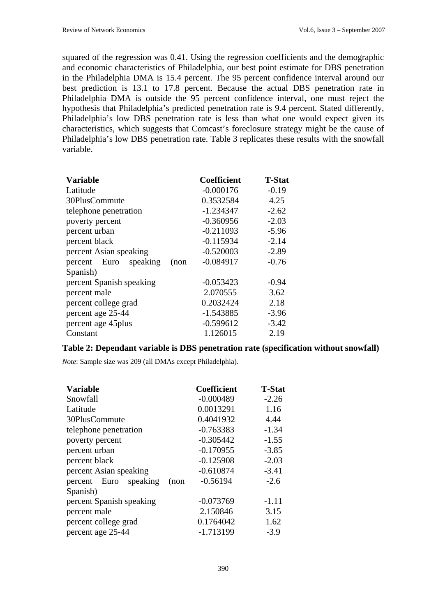squared of the regression was 0.41. Using the regression coefficients and the demographic and economic characteristics of Philadelphia, our best point estimate for DBS penetration in the Philadelphia DMA is 15.4 percent. The 95 percent confidence interval around our best prediction is 13.1 to 17.8 percent. Because the actual DBS penetration rate in Philadelphia DMA is outside the 95 percent confidence interval, one must reject the hypothesis that Philadelphia's predicted penetration rate is 9.4 percent. Stated differently, Philadelphia's low DBS penetration rate is less than what one would expect given its characteristics, which suggests that Comcast's foreclosure strategy might be the cause of Philadelphia's low DBS penetration rate. Table 3 replicates these results with the snowfall variable.

| <b>Coefficient</b> | <b>T-Stat</b> |
|--------------------|---------------|
| $-0.000176$        | $-0.19$       |
| 0.3532584          | 4.25          |
| $-1.234347$        | $-2.62$       |
| $-0.360956$        | $-2.03$       |
| $-0.211093$        | $-5.96$       |
| $-0.115934$        | $-2.14$       |
| $-0.520003$        | $-2.89$       |
| $-0.084917$        | $-0.76$       |
|                    |               |
| $-0.053423$        | $-0.94$       |
| 2.070555           | 3.62          |
| 0.2032424          | 2.18          |
| $-1.543885$        | $-3.96$       |
| $-0.599612$        | $-3.42$       |
| 1.126015           | 2.19          |
|                    |               |

### **Table 2: Dependant variable is DBS penetration rate (specification without snowfall)**

*Note*: Sample size was 209 (all DMAs except Philadelphia).

| <b>Variable</b>          |      | <b>Coefficient</b> | <b>T-Stat</b> |
|--------------------------|------|--------------------|---------------|
| Snowfall                 |      | $-0.000489$        | $-2.26$       |
| Latitude                 |      | 0.0013291          | 1.16          |
| 30PlusCommute            |      | 0.4041932          | 4.44          |
| telephone penetration    |      | $-0.763383$        | $-1.34$       |
| poverty percent          |      | $-0.305442$        | $-1.55$       |
| percent urban            |      | $-0.170955$        | $-3.85$       |
| percent black            |      | $-0.125908$        | $-2.03$       |
| percent Asian speaking   |      | $-0.610874$        | $-3.41$       |
| percent Euro speaking    | (non | $-0.56194$         | $-2.6$        |
| Spanish)                 |      |                    |               |
| percent Spanish speaking |      | $-0.073769$        | $-1.11$       |
| percent male             |      | 2.150846           | 3.15          |
| percent college grad     |      | 0.1764042          | 1.62          |
| percent age 25-44        |      | $-1.713199$        | $-3.9$        |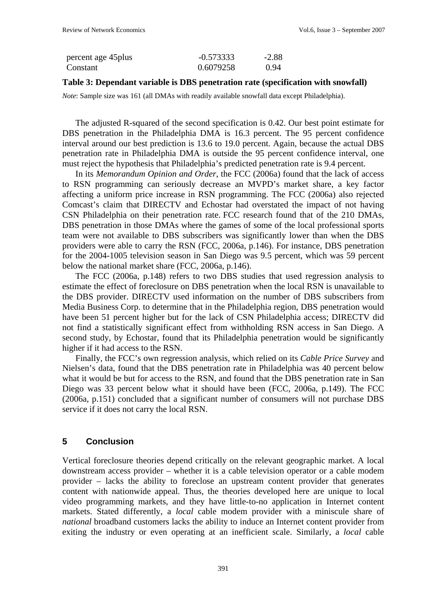| percent age 45 plus | $-0.573333$ | $-2.88$ |
|---------------------|-------------|---------|
| Constant            | 0.6079258   | 0.94    |

### **Table 3: Dependant variable is DBS penetration rate (specification with snowfall)**

*Note*: Sample size was 161 (all DMAs with readily available snowfall data except Philadelphia).

The adjusted R-squared of the second specification is 0.42. Our best point estimate for DBS penetration in the Philadelphia DMA is 16.3 percent. The 95 percent confidence interval around our best prediction is 13.6 to 19.0 percent. Again, because the actual DBS penetration rate in Philadelphia DMA is outside the 95 percent confidence interval, one must reject the hypothesis that Philadelphia's predicted penetration rate is 9.4 percent.

In its *Memorandum Opinion and Order*, the FCC (2006a) found that the lack of access to RSN programming can seriously decrease an MVPD's market share, a key factor affecting a uniform price increase in RSN programming. The FCC (2006a) also rejected Comcast's claim that DIRECTV and Echostar had overstated the impact of not having CSN Philadelphia on their penetration rate. FCC research found that of the 210 DMAs, DBS penetration in those DMAs where the games of some of the local professional sports team were not available to DBS subscribers was significantly lower than when the DBS providers were able to carry the RSN (FCC, 2006a, p.146). For instance, DBS penetration for the 2004-1005 television season in San Diego was 9.5 percent, which was 59 percent below the national market share (FCC, 2006a, p.146).

The FCC (2006a, p.148) refers to two DBS studies that used regression analysis to estimate the effect of foreclosure on DBS penetration when the local RSN is unavailable to the DBS provider. DIRECTV used information on the number of DBS subscribers from Media Business Corp. to determine that in the Philadelphia region, DBS penetration would have been 51 percent higher but for the lack of CSN Philadelphia access; DIRECTV did not find a statistically significant effect from withholding RSN access in San Diego. A second study, by Echostar, found that its Philadelphia penetration would be significantly higher if it had access to the RSN.

Finally, the FCC's own regression analysis, which relied on its *Cable Price Survey* and Nielsen's data, found that the DBS penetration rate in Philadelphia was 40 percent below what it would be but for access to the RSN, and found that the DBS penetration rate in San Diego was 33 percent below what it should have been (FCC, 2006a, p.149). The FCC (2006a, p.151) concluded that a significant number of consumers will not purchase DBS service if it does not carry the local RSN.

### **5 Conclusion**

Vertical foreclosure theories depend critically on the relevant geographic market. A local downstream access provider – whether it is a cable television operator or a cable modem provider – lacks the ability to foreclose an upstream content provider that generates content with nationwide appeal. Thus, the theories developed here are unique to local video programming markets, and they have little-to-no application in Internet content markets. Stated differently, a *local* cable modem provider with a miniscule share of *national* broadband customers lacks the ability to induce an Internet content provider from exiting the industry or even operating at an inefficient scale. Similarly, a *local* cable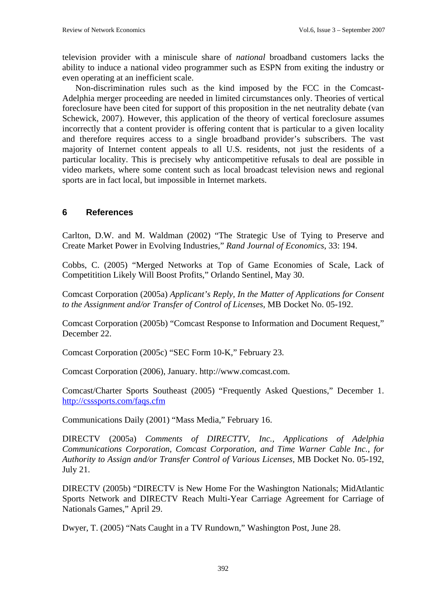television provider with a miniscule share of *national* broadband customers lacks the ability to induce a national video programmer such as ESPN from exiting the industry or even operating at an inefficient scale.

Non-discrimination rules such as the kind imposed by the FCC in the Comcast-Adelphia merger proceeding are needed in limited circumstances only. Theories of vertical foreclosure have been cited for support of this proposition in the net neutrality debate (van Schewick, 2007). However, this application of the theory of vertical foreclosure assumes incorrectly that a content provider is offering content that is particular to a given locality and therefore requires access to a single broadband provider's subscribers. The vast majority of Internet content appeals to all U.S. residents, not just the residents of a particular locality. This is precisely why anticompetitive refusals to deal are possible in video markets, where some content such as local broadcast television news and regional sports are in fact local, but impossible in Internet markets.

## **6 References**

Carlton, D.W. and M. Waldman (2002) "The Strategic Use of Tying to Preserve and Create Market Power in Evolving Industries," *Rand Journal of Economics*, 33: 194.

Cobbs, C. (2005) "Merged Networks at Top of Game Economies of Scale, Lack of Competitition Likely Will Boost Profits," Orlando Sentinel, May 30.

Comcast Corporation (2005a) *Applicant's Reply, In the Matter of Applications for Consent to the Assignment and/or Transfer of Control of Licenses*, MB Docket No. 05-192.

Comcast Corporation (2005b) "Comcast Response to Information and Document Request," December 22.

Comcast Corporation (2005c) "SEC Form 10-K," February 23.

Comcast Corporation (2006), January. http://www.comcast.com.

Comcast/Charter Sports Southeast (2005) "Frequently Asked Questions," December 1. <http://csssports.com/faqs.cfm>

Communications Daily (2001) "Mass Media," February 16.

DIRECTV (2005a) *Comments of DIRECTTV, Inc., Applications of Adelphia Communications Corporation, Comcast Corporation, and Time Warner Cable Inc., for Authority to Assign and/or Transfer Control of Various Licenses,* MB Docket No. 05-192, July 21.

DIRECTV (2005b) "DIRECTV is New Home For the Washington Nationals; MidAtlantic Sports Network and DIRECTV Reach Multi-Year Carriage Agreement for Carriage of Nationals Games," April 29.

Dwyer, T. (2005) "Nats Caught in a TV Rundown," Washington Post, June 28.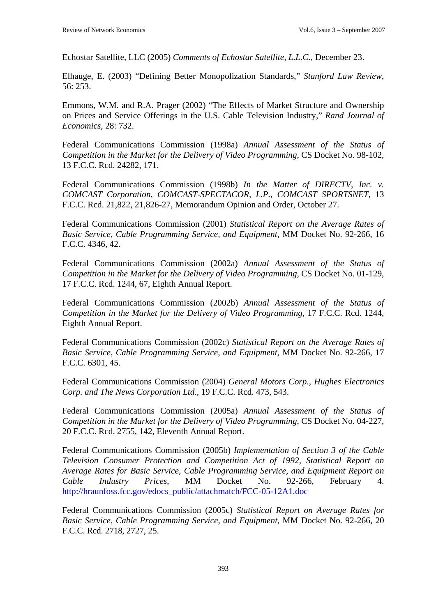Echostar Satellite, LLC (2005) *Comments of Echostar Satellite, L.L.C.*, December 23.

Elhauge, E. (2003) "Defining Better Monopolization Standards," *Stanford Law Review*, 56: 253.

Emmons, W.M. and R.A. Prager (2002) "The Effects of Market Structure and Ownership on Prices and Service Offerings in the U.S. Cable Television Industry," *Rand Journal of Economics*, 28: 732.

Federal Communications Commission (1998a) *Annual Assessment of the Status of Competition in the Market for the Delivery of Video Programming*, CS Docket No. 98-102, 13 F.C.C. Rcd. 24282, 171.

Federal Communications Commission (1998b) *In the Matter of DIRECTV, Inc. v. COMCAST Corporation, COMCAST-SPECTACOR, L.P., COMCAST SPORTSNET*, 13 F.C.C. Rcd. 21,822, 21,826-27, Memorandum Opinion and Order, October 27.

Federal Communications Commission (2001) *Statistical Report on the Average Rates of Basic Service, Cable Programming Service, and Equipment*, MM Docket No. 92-266, 16 F.C.C. 4346, 42.

Federal Communications Commission (2002a) *Annual Assessment of the Status of Competition in the Market for the Delivery of Video Programming*, CS Docket No. 01-129, 17 F.C.C. Rcd. 1244, 67, Eighth Annual Report.

Federal Communications Commission (2002b) *Annual Assessment of the Status of Competition in the Market for the Delivery of Video Programming*, 17 F.C.C. Rcd. 1244, Eighth Annual Report.

Federal Communications Commission (2002c) *Statistical Report on the Average Rates of Basic Service, Cable Programming Service, and Equipment*, MM Docket No. 92-266, 17 F.C.C. 6301, 45.

Federal Communications Commission (2004) *General Motors Corp., Hughes Electronics Corp. and The News Corporation Ltd.*, 19 F.C.C. Rcd. 473, 543.

Federal Communications Commission (2005a) *Annual Assessment of the Status of Competition in the Market for the Delivery of Video Programming*, CS Docket No. 04-227, 20 F.C.C. Rcd. 2755, 142, Eleventh Annual Report.

Federal Communications Commission (2005b) *Implementation of Section 3 of the Cable Television Consumer Protection and Competition Act of 1992, Statistical Report on Average Rates for Basic Service, Cable Programming Service, and Equipment Report on Cable Industry Prices*, MM Docket No. 92-266, February 4. [http://hraunfoss.fcc.gov/edocs\\_public/attachmatch/FCC-05-12A1.doc](http://hraunfoss.fcc.gov/edocs_public/attachmatch/FCC-05-12A1.doc)

Federal Communications Commission (2005c) *Statistical Report on Average Rates for Basic Service, Cable Programming Service, and Equipment*, MM Docket No. 92-266, 20 F.C.C. Rcd. 2718, 2727, 25.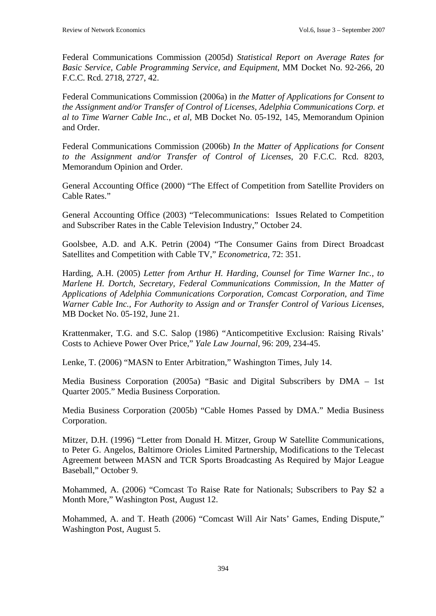Federal Communications Commission (2005d) *Statistical Report on Average Rates for Basic Service, Cable Programming Service, and Equipment*, MM Docket No. 92-266, 20 F.C.C. Rcd. 2718, 2727, 42.

Federal Communications Commission (2006a) in *the Matter of Applications for Consent to the Assignment and/or Transfer of Control of Licenses, Adelphia Communications Corp. et al to Time Warner Cable Inc., et al,* MB Docket No. 05-192, 145, Memorandum Opinion and Order.

Federal Communications Commission (2006b) *In the Matter of Applications for Consent to the Assignment and/or Transfer of Control of Licenses*, 20 F.C.C. Rcd. 8203, Memorandum Opinion and Order.

General Accounting Office (2000) "The Effect of Competition from Satellite Providers on Cable Rates."

General Accounting Office (2003) "Telecommunications: Issues Related to Competition and Subscriber Rates in the Cable Television Industry," October 24.

Goolsbee, A.D. and A.K. Petrin (2004) "The Consumer Gains from Direct Broadcast Satellites and Competition with Cable TV," *Econometrica*, 72: 351.

Harding, A.H. (2005) *Letter from Arthur H. Harding, Counsel for Time Warner Inc., to Marlene H. Dortch, Secretary, Federal Communications Commission, In the Matter of Applications of Adelphia Communications Corporation, Comcast Corporation, and Time Warner Cable Inc., For Authority to Assign and or Transfer Control of Various Licenses,* MB Docket No. 05-192, June 21.

Krattenmaker, T.G. and S.C. Salop (1986) "Anticompetitive Exclusion: Raising Rivals' Costs to Achieve Power Over Price," *Yale Law Journal*, 96: 209, 234-45.

Lenke, T. (2006) "MASN to Enter Arbitration," Washington Times, July 14.

Media Business Corporation (2005a) "Basic and Digital Subscribers by DMA – 1st Quarter 2005." Media Business Corporation.

Media Business Corporation (2005b) "Cable Homes Passed by DMA." Media Business Corporation.

Mitzer, D.H. (1996) "Letter from Donald H. Mitzer, Group W Satellite Communications, to Peter G. Angelos, Baltimore Orioles Limited Partnership, Modifications to the Telecast Agreement between MASN and TCR Sports Broadcasting As Required by Major League Baseball," October 9.

Mohammed, A. (2006) "Comcast To Raise Rate for Nationals; Subscribers to Pay \$2 a Month More," Washington Post, August 12.

Mohammed, A. and T. Heath (2006) "Comcast Will Air Nats' Games, Ending Dispute," Washington Post, August 5.